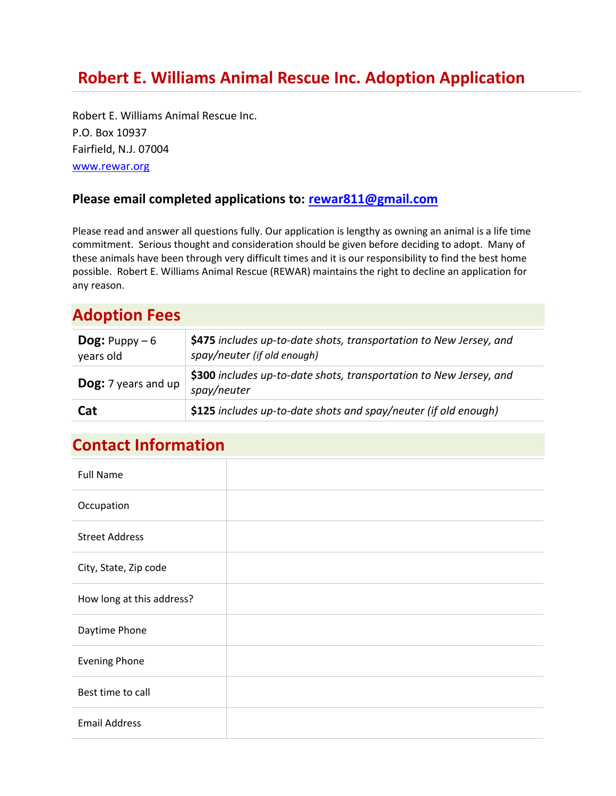Robert E. Williams Animal Rescue Inc. P.O. Box 10937 Fairfield, N.J. 07004 [www.rewar.org](http://www.rewar.org/)

#### **Please email completed applications to: [rewar811@gmail.com](mailto:rewar811@gmail.com)**

Please read and answer all questions fully. Our application is lengthy as owning an animal is a life time commitment. Serious thought and consideration should be given before deciding to adopt. Many of these animals have been through very difficult times and it is our responsibility to find the best home possible. Robert E. Williams Animal Rescue (REWAR) maintains the right to decline an application for any reason.

#### **Adoption Fees**

| <b>Dog:</b> Puppy $-6$<br>years old | \$475 includes up-to-date shots, transportation to New Jersey, and<br>spay/neuter (if old enough) |
|-------------------------------------|---------------------------------------------------------------------------------------------------|
| <b>Dog:</b> 7 years and up          | \$300 includes up-to-date shots, transportation to New Jersey, and<br>spay/neuter                 |
| Cat                                 | \$125 includes up-to-date shots and spay/neuter (if old enough)                                   |

### **Contact Information**

| <b>Full Name</b>          |  |
|---------------------------|--|
| Occupation                |  |
| <b>Street Address</b>     |  |
| City, State, Zip code     |  |
| How long at this address? |  |
| Daytime Phone             |  |
| <b>Evening Phone</b>      |  |
| Best time to call         |  |
| <b>Email Address</b>      |  |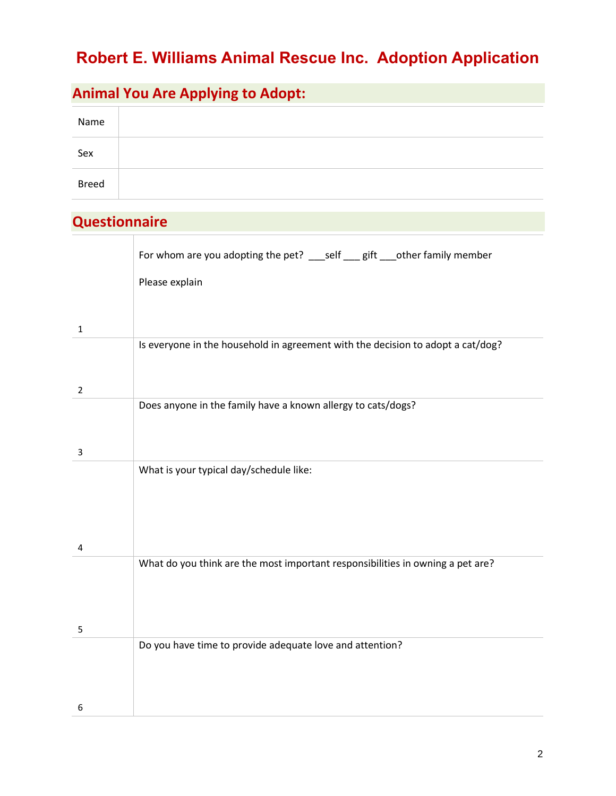### **Animal You Are Applying to Adopt:**

| Name         |  |
|--------------|--|
| Sex          |  |
| <b>Breed</b> |  |

#### **Questionnaire**

|                | For whom are you adopting the pet? ___ self ___ gift ___ other family member    |
|----------------|---------------------------------------------------------------------------------|
|                | Please explain                                                                  |
|                |                                                                                 |
| $\mathbf{1}$   |                                                                                 |
|                | Is everyone in the household in agreement with the decision to adopt a cat/dog? |
|                |                                                                                 |
| $\overline{2}$ |                                                                                 |
|                | Does anyone in the family have a known allergy to cats/dogs?                    |
|                |                                                                                 |
| 3              |                                                                                 |
|                | What is your typical day/schedule like:                                         |
|                |                                                                                 |
|                |                                                                                 |
| 4              |                                                                                 |
|                | What do you think are the most important responsibilities in owning a pet are?  |
|                |                                                                                 |
|                |                                                                                 |
| 5              |                                                                                 |
|                | Do you have time to provide adequate love and attention?                        |
|                |                                                                                 |
|                |                                                                                 |
| 6              |                                                                                 |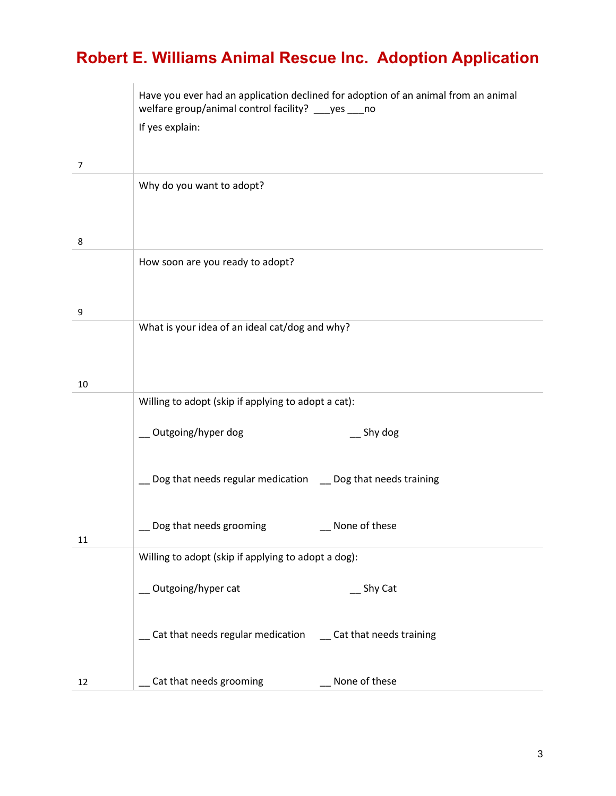|    | Have you ever had an application declined for adoption of an animal from an animal<br>welfare group/animal control facility? ___ yes ___ no<br>If yes explain: |
|----|----------------------------------------------------------------------------------------------------------------------------------------------------------------|
| 7  |                                                                                                                                                                |
|    | Why do you want to adopt?                                                                                                                                      |
| 8  | How soon are you ready to adopt?                                                                                                                               |
| 9  |                                                                                                                                                                |
| 10 | What is your idea of an ideal cat/dog and why?                                                                                                                 |
|    | Willing to adopt (skip if applying to adopt a cat):                                                                                                            |
|    | _ Outgoing/hyper dog<br>$\equiv$ Shy dog                                                                                                                       |
|    | Dog that needs regular medication _ Dog that needs training                                                                                                    |
| 11 | Dog that needs grooming<br>None of these                                                                                                                       |
|    | Willing to adopt (skip if applying to adopt a dog):                                                                                                            |
|    | Outgoing/hyper cat<br>__ Shy Cat                                                                                                                               |
|    | Cat that needs regular medication ___ Cat that needs training                                                                                                  |
| 12 | Cat that needs grooming<br>None of these                                                                                                                       |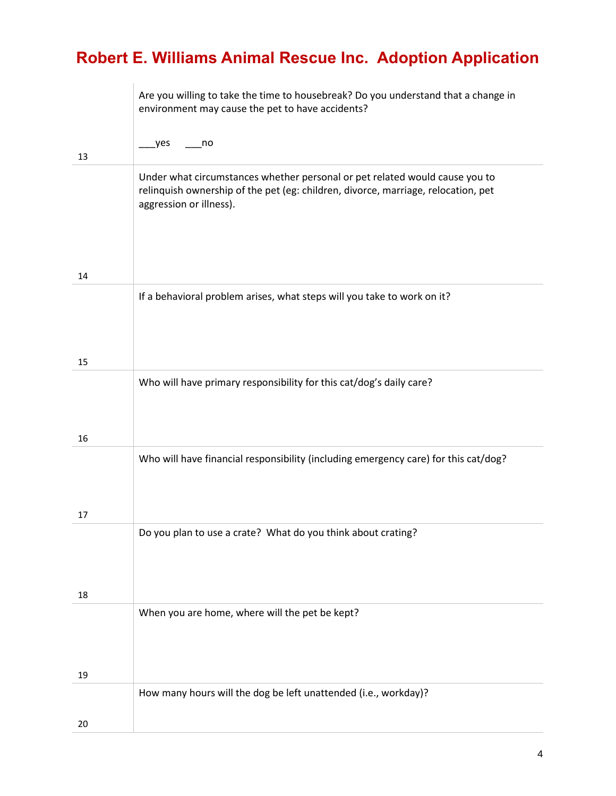|    | Are you willing to take the time to housebreak? Do you understand that a change in<br>environment may cause the pet to have accidents?                                                      |
|----|---------------------------------------------------------------------------------------------------------------------------------------------------------------------------------------------|
| 13 | yes.<br>no                                                                                                                                                                                  |
|    | Under what circumstances whether personal or pet related would cause you to<br>relinquish ownership of the pet (eg: children, divorce, marriage, relocation, pet<br>aggression or illness). |
| 14 |                                                                                                                                                                                             |
|    | If a behavioral problem arises, what steps will you take to work on it?                                                                                                                     |
| 15 |                                                                                                                                                                                             |
| 16 | Who will have primary responsibility for this cat/dog's daily care?                                                                                                                         |
|    | Who will have financial responsibility (including emergency care) for this cat/dog?                                                                                                         |
| 17 | Do you plan to use a crate? What do you think about crating?                                                                                                                                |
| 18 |                                                                                                                                                                                             |
|    | When you are home, where will the pet be kept?                                                                                                                                              |
| 19 |                                                                                                                                                                                             |
|    | How many hours will the dog be left unattended (i.e., workday)?                                                                                                                             |
| 20 |                                                                                                                                                                                             |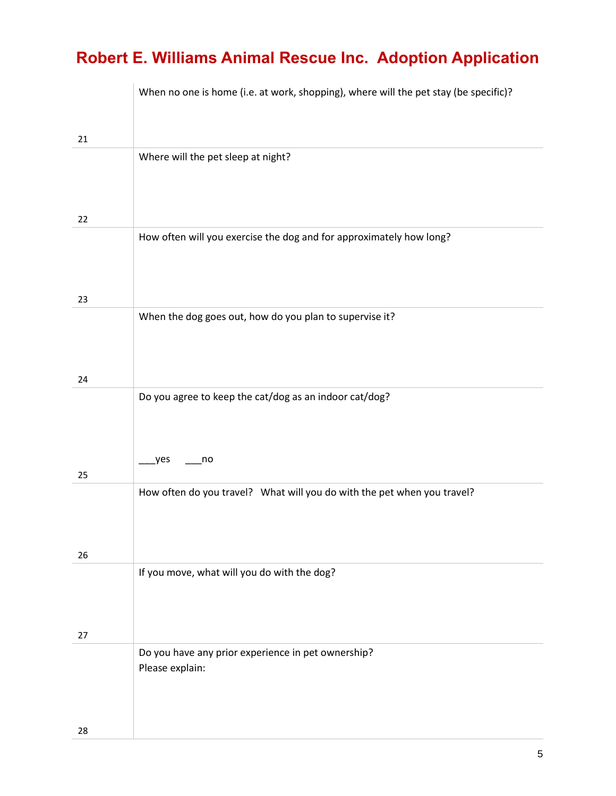|    | When no one is home (i.e. at work, shopping), where will the pet stay (be specific)? |
|----|--------------------------------------------------------------------------------------|
| 21 |                                                                                      |
|    | Where will the pet sleep at night?                                                   |
| 22 |                                                                                      |
|    | How often will you exercise the dog and for approximately how long?                  |
| 23 |                                                                                      |
|    | When the dog goes out, how do you plan to supervise it?                              |
| 24 |                                                                                      |
| 25 | Do you agree to keep the cat/dog as an indoor cat/dog?<br>yes<br>no                  |
|    | How often do you travel? What will you do with the pet when you travel?              |
| 26 |                                                                                      |
|    | If you move, what will you do with the dog?                                          |
| 27 | Do you have any prior experience in pet ownership?                                   |
| 28 | Please explain:                                                                      |
|    |                                                                                      |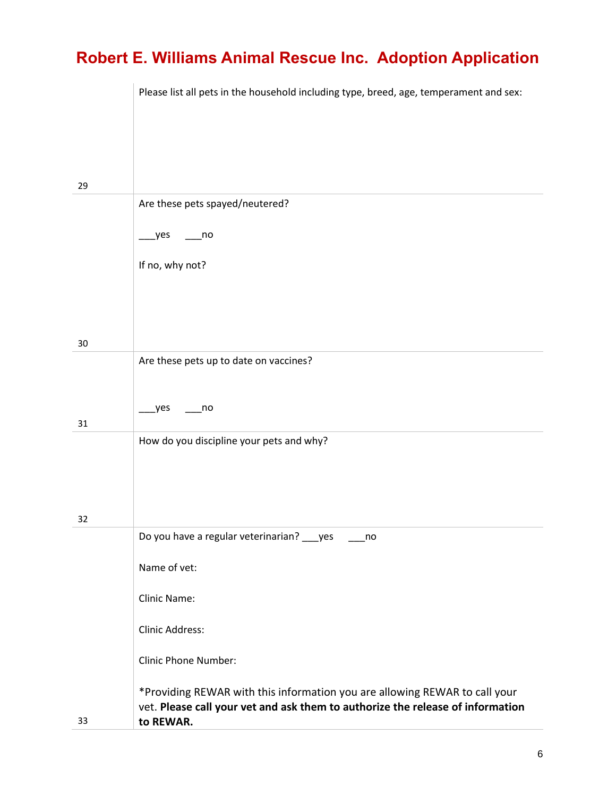|    | Please list all pets in the household including type, breed, age, temperament and sex:                                                                                    |
|----|---------------------------------------------------------------------------------------------------------------------------------------------------------------------------|
|    |                                                                                                                                                                           |
|    |                                                                                                                                                                           |
|    |                                                                                                                                                                           |
| 29 | Are these pets spayed/neutered?                                                                                                                                           |
|    |                                                                                                                                                                           |
|    | yes_<br>$\overline{\mathsf{no}}$                                                                                                                                          |
|    | If no, why not?                                                                                                                                                           |
|    |                                                                                                                                                                           |
|    |                                                                                                                                                                           |
| 30 |                                                                                                                                                                           |
|    | Are these pets up to date on vaccines?                                                                                                                                    |
|    |                                                                                                                                                                           |
|    | yes<br>no                                                                                                                                                                 |
| 31 | How do you discipline your pets and why?                                                                                                                                  |
|    |                                                                                                                                                                           |
|    |                                                                                                                                                                           |
|    |                                                                                                                                                                           |
| 32 | Do you have a regular veterinarian? ___ yes<br>$\overline{\phantom{0}}$ no                                                                                                |
|    | Name of vet:                                                                                                                                                              |
|    | Clinic Name:                                                                                                                                                              |
|    | Clinic Address:                                                                                                                                                           |
|    | <b>Clinic Phone Number:</b>                                                                                                                                               |
| 33 | *Providing REWAR with this information you are allowing REWAR to call your<br>vet. Please call your vet and ask them to authorize the release of information<br>to REWAR. |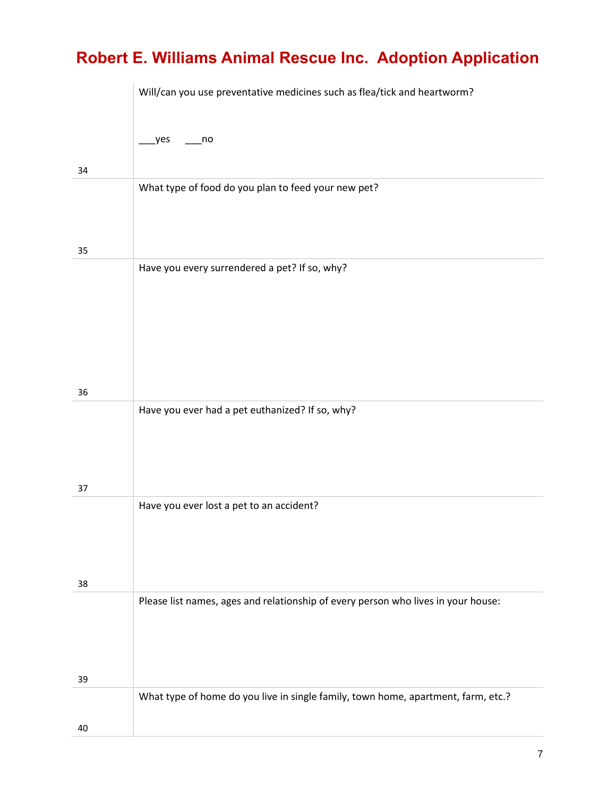|    | Will/can you use preventative medicines such as flea/tick and heartworm?          |
|----|-----------------------------------------------------------------------------------|
|    | yes<br>$\overline{\phantom{a}}$ no                                                |
| 34 |                                                                                   |
|    | What type of food do you plan to feed your new pet?                               |
|    |                                                                                   |
| 35 | Have you every surrendered a pet? If so, why?                                     |
|    |                                                                                   |
|    |                                                                                   |
|    |                                                                                   |
| 36 |                                                                                   |
|    | Have you ever had a pet euthanized? If so, why?                                   |
|    |                                                                                   |
| 37 |                                                                                   |
|    | Have you ever lost a pet to an accident?                                          |
|    |                                                                                   |
| 38 |                                                                                   |
|    | Please list names, ages and relationship of every person who lives in your house: |
|    |                                                                                   |
|    |                                                                                   |
| 39 | What type of home do you live in single family, town home, apartment, farm, etc.? |
|    |                                                                                   |
| 40 |                                                                                   |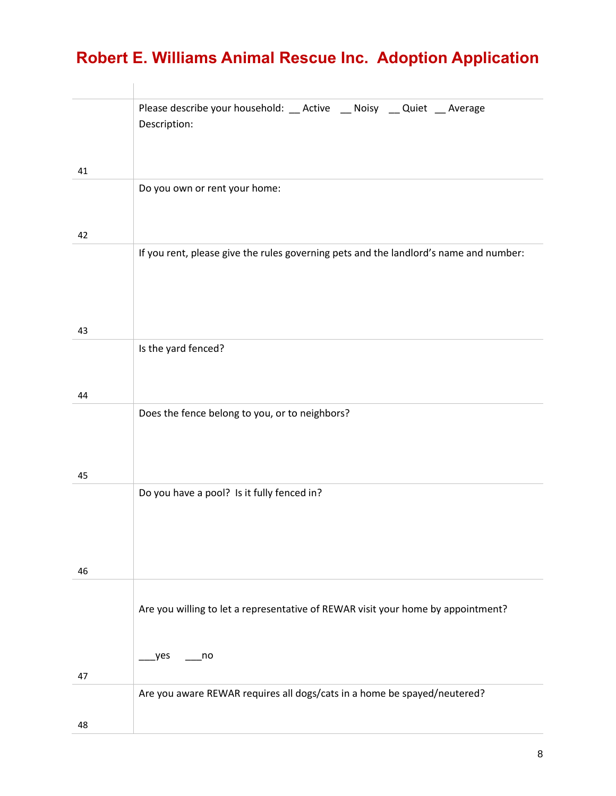|    | Please describe your household: __ Active __ Noisy __ Quiet __ Average<br>Description: |
|----|----------------------------------------------------------------------------------------|
| 41 |                                                                                        |
|    | Do you own or rent your home:                                                          |
| 42 |                                                                                        |
|    | If you rent, please give the rules governing pets and the landlord's name and number:  |
| 43 |                                                                                        |
|    | Is the yard fenced?                                                                    |
| 44 |                                                                                        |
|    | Does the fence belong to you, or to neighbors?                                         |
| 45 | Do you have a pool? Is it fully fenced in?                                             |
|    |                                                                                        |
| 46 |                                                                                        |
|    | Are you willing to let a representative of REWAR visit your home by appointment?       |
| 47 | yes<br>no                                                                              |
|    | Are you aware REWAR requires all dogs/cats in a home be spayed/neutered?               |
|    |                                                                                        |
| 48 |                                                                                        |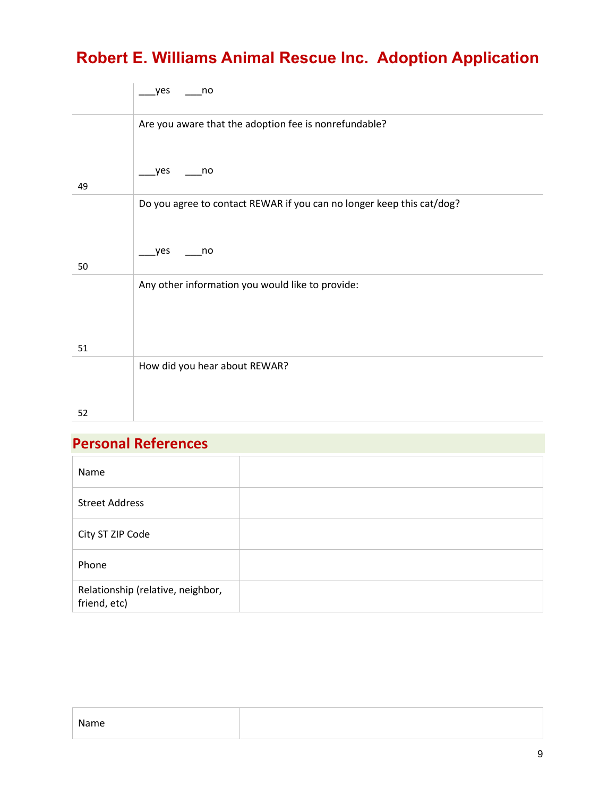|    | yes<br>no                                                             |
|----|-----------------------------------------------------------------------|
|    | Are you aware that the adoption fee is nonrefundable?                 |
| 49 | yes<br>no                                                             |
|    | Do you agree to contact REWAR if you can no longer keep this cat/dog? |
| 50 | yes<br>no                                                             |
|    | Any other information you would like to provide:                      |
| 51 |                                                                       |
|    | How did you hear about REWAR?                                         |
| 52 |                                                                       |

#### **Personal References**

| Name                                              |  |
|---------------------------------------------------|--|
| <b>Street Address</b>                             |  |
| City ST ZIP Code                                  |  |
| Phone                                             |  |
| Relationship (relative, neighbor,<br>friend, etc) |  |

| Name |  |
|------|--|
|      |  |